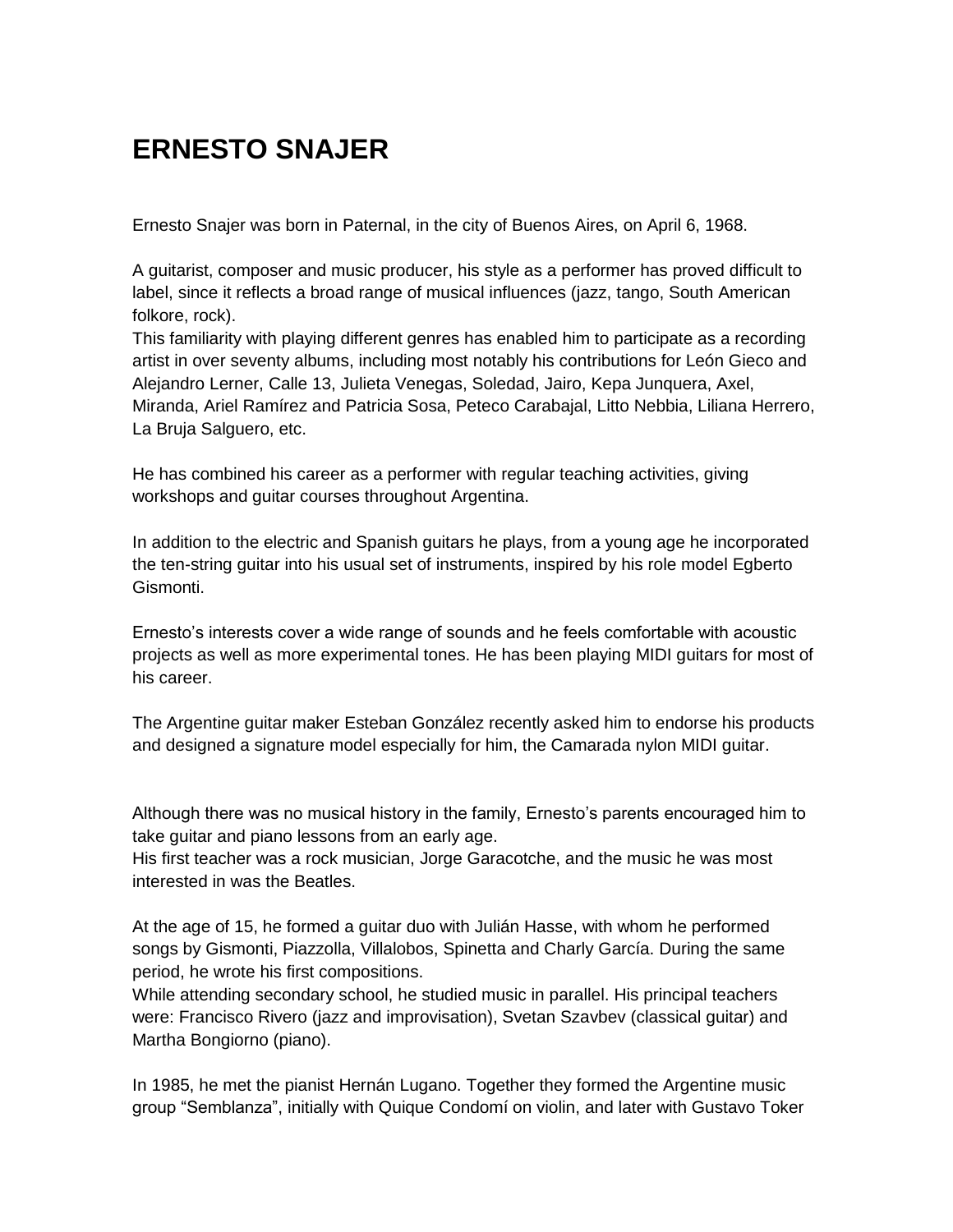## **ERNESTO SNAJER**

Ernesto Snajer was born in Paternal, in the city of Buenos Aires, on April 6, 1968.

A guitarist, composer and music producer, his style as a performer has proved difficult to label, since it reflects a broad range of musical influences (jazz, tango, South American folkore, rock).

This familiarity with playing different genres has enabled him to participate as a recording artist in over seventy albums, including most notably his contributions for León Gieco and Alejandro Lerner, Calle 13, Julieta Venegas, Soledad, Jairo, Kepa Junquera, Axel, Miranda, Ariel Ramírez and Patricia Sosa, Peteco Carabajal, Litto Nebbia, Liliana Herrero, La Bruja Salguero, etc.

He has combined his career as a performer with regular teaching activities, giving workshops and guitar courses throughout Argentina.

In addition to the electric and Spanish guitars he plays, from a young age he incorporated the ten-string guitar into his usual set of instruments, inspired by his role model Egberto Gismonti.

Ernesto's interests cover a wide range of sounds and he feels comfortable with acoustic projects as well as more experimental tones. He has been playing MIDI guitars for most of his career.

The Argentine guitar maker Esteban González recently asked him to endorse his products and designed a signature model especially for him, the Camarada nylon MIDI guitar.

Although there was no musical history in the family, Ernesto's parents encouraged him to take guitar and piano lessons from an early age.

His first teacher was a rock musician, Jorge Garacotche, and the music he was most interested in was the Beatles.

At the age of 15, he formed a guitar duo with Julián Hasse, with whom he performed songs by Gismonti, Piazzolla, Villalobos, Spinetta and Charly García. During the same period, he wrote his first compositions.

While attending secondary school, he studied music in parallel. His principal teachers were: Francisco Rivero (jazz and improvisation), Svetan Szavbev (classical guitar) and Martha Bongiorno (piano).

In 1985, he met the pianist Hernán Lugano. Together they formed the Argentine music group "Semblanza", initially with Quique Condomí on violin, and later with Gustavo Toker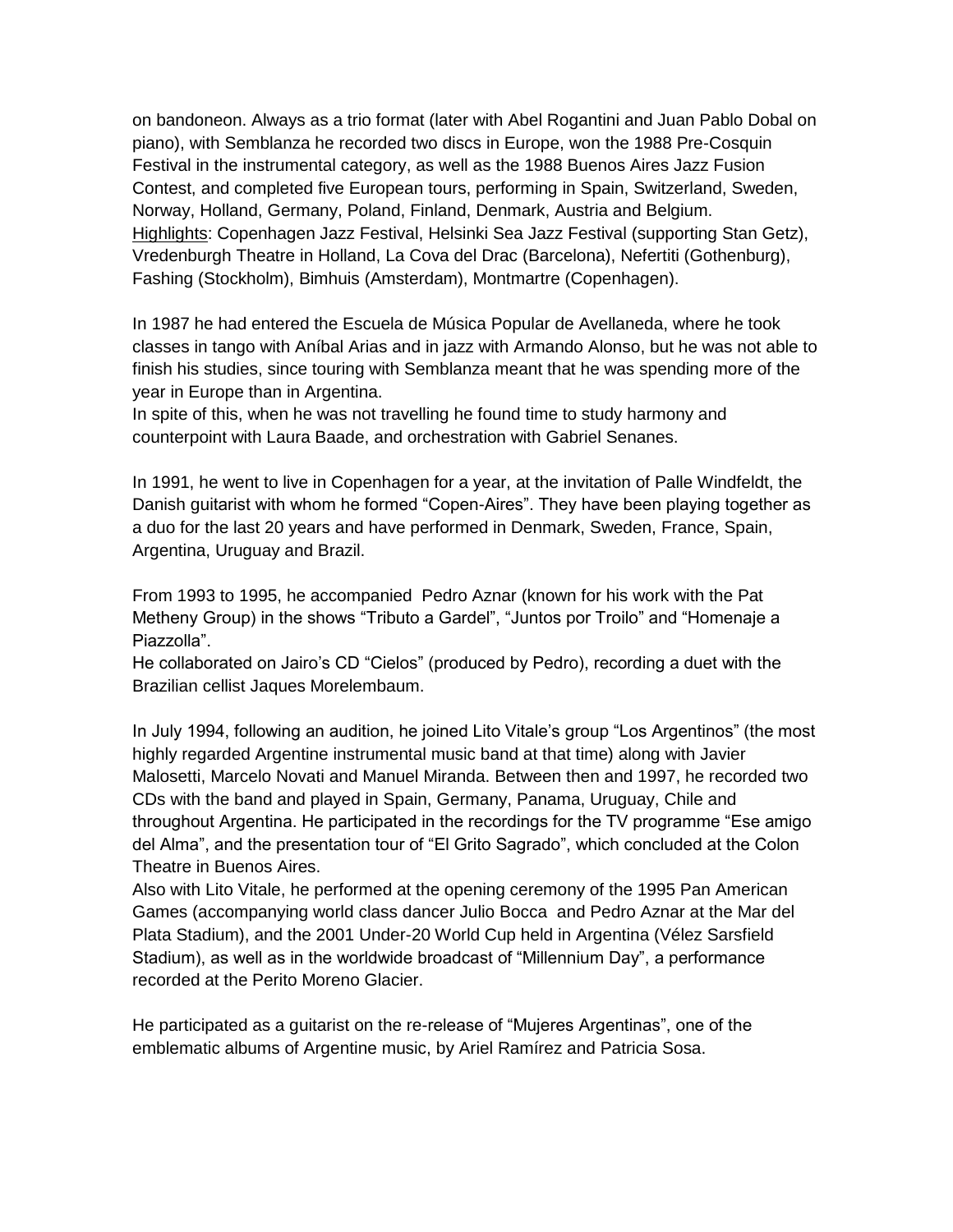on bandoneon. Always as a trio format (later with Abel Rogantini and Juan Pablo Dobal on piano), with Semblanza he recorded two discs in Europe, won the 1988 Pre-Cosquin Festival in the instrumental category, as well as the 1988 Buenos Aires Jazz Fusion Contest, and completed five European tours, performing in Spain, Switzerland, Sweden, Norway, Holland, Germany, Poland, Finland, Denmark, Austria and Belgium. Highlights: Copenhagen Jazz Festival, Helsinki Sea Jazz Festival (supporting Stan Getz), Vredenburgh Theatre in Holland, La Cova del Drac (Barcelona), Nefertiti (Gothenburg), Fashing (Stockholm), Bimhuis (Amsterdam), Montmartre (Copenhagen).

In 1987 he had entered the Escuela de Música Popular de Avellaneda, where he took classes in tango with Aníbal Arias and in jazz with Armando Alonso, but he was not able to finish his studies, since touring with Semblanza meant that he was spending more of the year in Europe than in Argentina.

In spite of this, when he was not travelling he found time to study harmony and counterpoint with Laura Baade, and orchestration with Gabriel Senanes.

In 1991, he went to live in Copenhagen for a year, at the invitation of Palle Windfeldt, the Danish guitarist with whom he formed "Copen-Aires". They have been playing together as a duo for the last 20 years and have performed in Denmark, Sweden, France, Spain, Argentina, Uruguay and Brazil.

From 1993 to 1995, he accompanied Pedro Aznar (known for his work with the Pat Metheny Group) in the shows "Tributo a Gardel", "Juntos por Troilo" and "Homenaje a Piazzolla".

He collaborated on Jairo's CD "Cielos" (produced by Pedro), recording a duet with the Brazilian cellist Jaques Morelembaum.

In July 1994, following an audition, he joined Lito Vitale's group "Los Argentinos" (the most highly regarded Argentine instrumental music band at that time) along with Javier Malosetti, Marcelo Novati and Manuel Miranda. Between then and 1997, he recorded two CDs with the band and played in Spain, Germany, Panama, Uruguay, Chile and throughout Argentina. He participated in the recordings for the TV programme "Ese amigo del Alma", and the presentation tour of "El Grito Sagrado", which concluded at the Colon Theatre in Buenos Aires.

Also with Lito Vitale, he performed at the opening ceremony of the 1995 Pan American Games (accompanying world class dancer Julio Bocca and Pedro Aznar at the Mar del Plata Stadium), and the 2001 Under-20 World Cup held in Argentina (Vélez Sarsfield Stadium), as well as in the worldwide broadcast of "Millennium Day", a performance recorded at the Perito Moreno Glacier.

He participated as a guitarist on the re-release of "Mujeres Argentinas", one of the emblematic albums of Argentine music, by Ariel Ramírez and Patricia Sosa.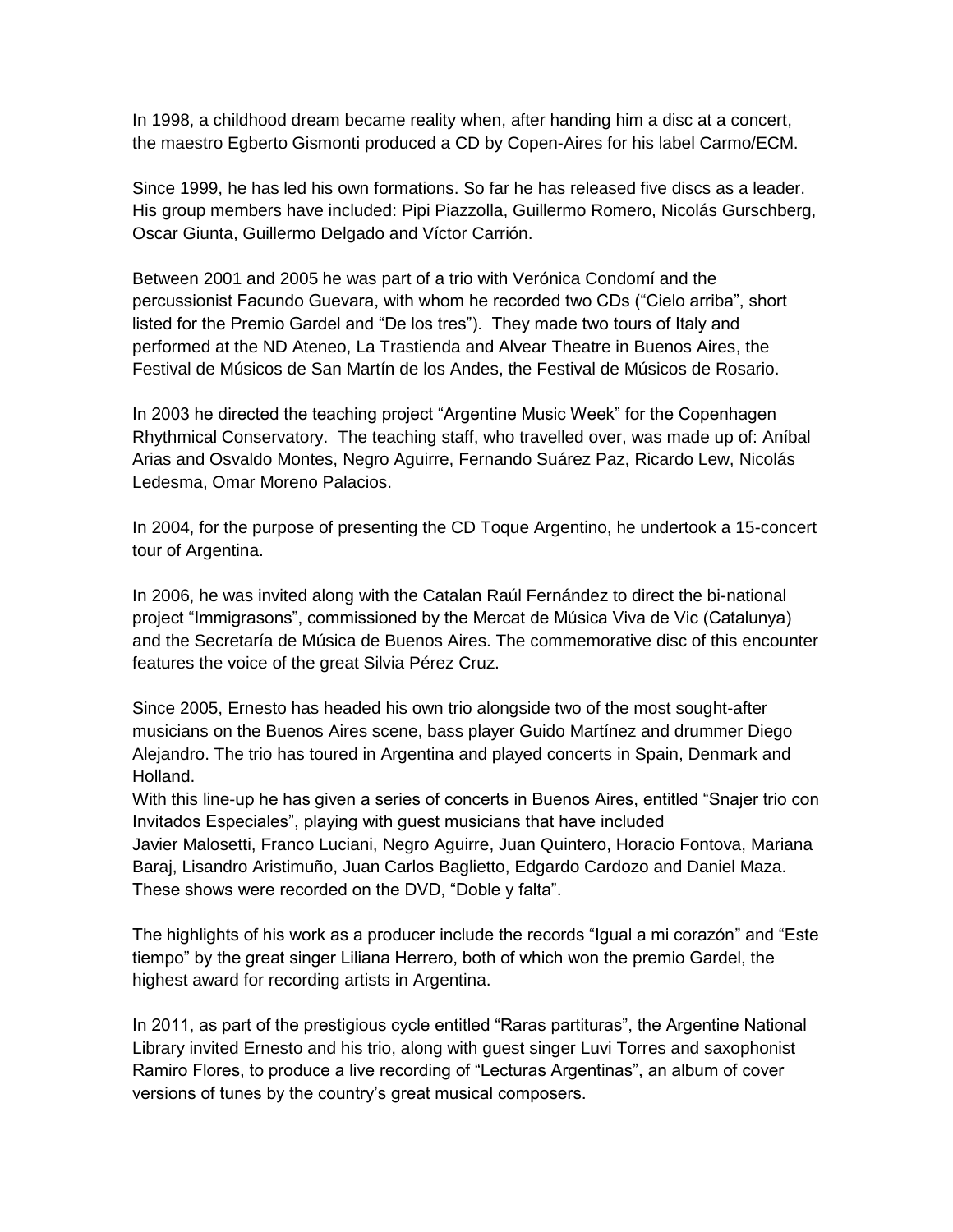In 1998, a childhood dream became reality when, after handing him a disc at a concert, the maestro Egberto Gismonti produced a CD by Copen-Aires for his label Carmo/ECM.

Since 1999, he has led his own formations. So far he has released five discs as a leader. His group members have included: Pipi Piazzolla, Guillermo Romero, Nicolás Gurschberg, Oscar Giunta, Guillermo Delgado and Víctor Carrión.

Between 2001 and 2005 he was part of a trio with Verónica Condomí and the percussionist Facundo Guevara, with whom he recorded two CDs ("Cielo arriba", short listed for the Premio Gardel and "De los tres"). They made two tours of Italy and performed at the ND Ateneo, La Trastienda and Alvear Theatre in Buenos Aires, the Festival de Músicos de San Martín de los Andes, the Festival de Músicos de Rosario.

In 2003 he directed the teaching project "Argentine Music Week" for the Copenhagen Rhythmical Conservatory. The teaching staff, who travelled over, was made up of: Aníbal Arias and Osvaldo Montes, Negro Aguirre, Fernando Suárez Paz, Ricardo Lew, Nicolás Ledesma, Omar Moreno Palacios.

In 2004, for the purpose of presenting the CD Toque Argentino, he undertook a 15-concert tour of Argentina.

In 2006, he was invited along with the Catalan Raúl Fernández to direct the bi-national project "Immigrasons", commissioned by the Mercat de Música Viva de Vic (Catalunya) and the Secretaría de Música de Buenos Aires. The commemorative disc of this encounter features the voice of the great Silvia Pérez Cruz.

Since 2005, Ernesto has headed his own trio alongside two of the most sought-after musicians on the Buenos Aires scene, bass player Guido Martínez and drummer Diego Alejandro. The trio has toured in Argentina and played concerts in Spain, Denmark and Holland.

With this line-up he has given a series of concerts in Buenos Aires, entitled "Snajer trio con Invitados Especiales", playing with guest musicians that have included

Javier Malosetti, Franco Luciani, Negro Aguirre, Juan Quintero, Horacio Fontova, Mariana Baraj, Lisandro Aristimuño, Juan Carlos Baglietto, Edgardo Cardozo and Daniel Maza. These shows were recorded on the DVD, "Doble y falta".

The highlights of his work as a producer include the records "Igual a mi corazón" and "Este tiempo" by the great singer Liliana Herrero, both of which won the premio Gardel, the highest award for recording artists in Argentina.

In 2011, as part of the prestigious cycle entitled "Raras partituras", the Argentine National Library invited Ernesto and his trio, along with guest singer Luvi Torres and saxophonist Ramiro Flores, to produce a live recording of "Lecturas Argentinas", an album of cover versions of tunes by the country's great musical composers.